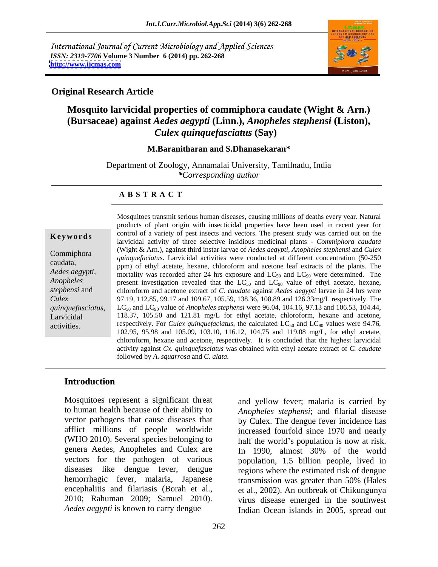International Journal of Current Microbiology and Applied Sciences *ISSN: 2319-7706* **Volume 3 Number 6 (2014) pp. 262-268 <http://www.ijcmas.com>**



### **Original Research Article**

# **Mosquito larvicidal properties of commiphora caudate (Wight & Arn.) (Bursaceae) against** *Aedes aegypti* **(Linn.),** *Anopheles stephensi* **(Liston),**  *Culex quinquefasciatus* **(Say)**

### **M.Baranitharan and S.Dhanasekaran\***

Department of Zoology, Annamalai University, Tamilnadu, India *\*Corresponding author* 

### **A B S T R A C T**

**Keywords** control of a variety of pest insects and vectors. The present study was carried out on the Commiphora *quinquefaciatus*. Larvicidal activities were conducted at different concentration (50-250 caudata, ppm) of ethyl acetate, hexane, chloroform and acetone leaf extracts of the plants. The *Aedes aegypti,* mortality was recorded after 24 hrs exposure and  $LC_{50}$  and  $LC_{90}$  were determined. The *Anopheles* present investigation revealed that the  $LC_{50}$  and  $LC_{90}$  value of ethyl acetate, hexane, *stephensi* and chloroform and acetone extract of *C. caudate* against *Aedes aegypti* larvae in 24 hrs were *Culex*  97.19, 112.85, 99.17 and 109.67, 105.59, 138.36, 108.89 and 126.33mg/L respectively. The *quinquefasciatus,* LC<sub>50</sub> and LC<sub>90</sub> value of *Anopheles stephensi* were 96.04, 104.16, 97.13 and 106.53, 104.44, Larvicidal 118.37, 105.50 and 121.81 mg/L for ethyl acetate, chloroform, hexane and acetone, Larvicidal 118.37, 105.50 and 121.81 mg/L for ethyl acetate, chloroform, hexane and acetone, respectively. For *Culex quinquefaciatus*, the calculated LC<sub>50</sub> and LC<sub>90</sub> values were 94.76, respectively. Mosquitoes transmit serious human diseases, causing millions of deaths every year. Natural products of plant origin with insecticidal properties have been used in recent year for larvicidal activity of three selective insidious medicinal plants - *Commiphora caudata* (Wight & Arn.)*,* against third instar larvae of *Aedes aegypti, Anopheles stephensi* and *Culex*  102.95, 95.98 and 105.09, 103.10, 116.12, 104.75 and 119.08 mg/L, for ethyl acetate, chloroform, hexane and acetone, respectively. It is concluded that the highest larvicidal activity against *Cx. quinquefasciatus* was obtained with ethyl acetate extract of *C. caudate* followed by *A. squarrosa* and *C. alata*.

### **Introduction**

Mosquitoes represent a significant threat and yellow fever; malaria is carried by to human health because of their ability to vector pathogens that cause diseases that afflict millions of people worldwide (WHO 2010). Several species belonging to genera Aedes, Anopheles and Culex are <br>In 1990, almost 30% of the world vectors for the pathogen of various population, 1.5 billion people, lived in diseases like dengue fever, dengue regions where the estimated risk of dengue hemorrhagic fever, malaria, Japanese encephalitis and filariasis (Borah et al., 2010; Rahuman 2009; Samuel 2010).

*Aedes aegypti* is known to carry dengue Indian Ocean islands in 2005, spread out *Anopheles stephensi*; and filarial disease by Culex. The dengue fever incidence has increased fourfold since 1970 and nearly half the world's population is now at risk. In 1990, almost 30% of the world transmission was greater than 50% (Hales et al., 2002). An outbreak of Chikungunya virus disease emerged in the southwest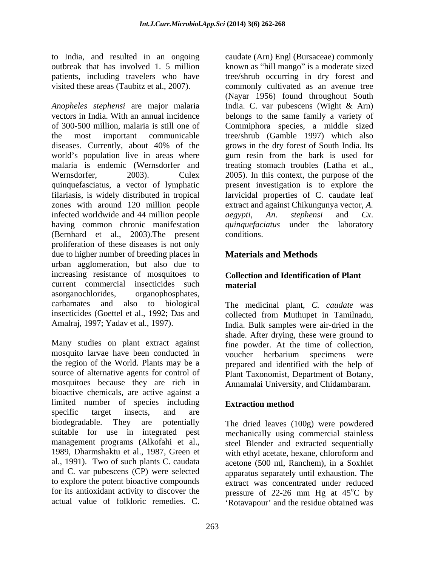*Anopheles stephensi* are major malaria India. C. var pubescens (Wight & Arn) vectors in India. With an annual incidence belongs to the same family a variety of of 300-500 million, malaria is still one of Commiphora species, a middle sized the most important communicable tree/shrub (Gamble 1997) which also diseases. Currently, about 40% of the grows in the dry forest of South India. Its world's population live in areas where you gum resin from the bark is used for malaria is endemic (Wernsdorfer and treating stomach troubles (Latha et al., Wernsdorfer, 2003). Culex 2005). In this context, the purpose of the quinquefasciatus, a vector of lymphatic filariasis, is widely distributed in tropical larvicidal properties of C. caudate leaf zones with around 120 million people infected worldwide and 44 million people  $aegypti$ , An. stephensi and  $Cx$ . having common chronic manifestation *quinquefaciatus* under the laboratory (Bernhard et al., 2003).The present proliferation of these diseases is not only due to higher number of breeding places in urban agglomeration, but also due to increasing resistance of mosquitoes to current commercial insecticides such material asorganochlorides, organophosphates, carbamates and also to biological The medicinal plant, *C.caudate* was insecticides (Goettel et al., 1992; Das and collected from Muthupet in Tamilnadu,

Many studies on plant extract against fine powder. At the time of collection, mosquito larvae have been conducted in voucher herbarium specimens were the region of the World. Plants may be a prepared and identified with the help of source of alternative agents for control of Plant Taxonomist, Department of Botany, source of alternative agents for control of Plant Taxonomist, Department of Botany,<br>mosquitoes because they are rich in Annamalai University, and Chidambaram. bioactive chemicals, are active against a limited number of species including Extraction method specific target insects, and are biodegradable. They are potentially The dried leaves (100g) were powdered suitable for use in integrated pest mechanically using commercial stainless management programs (Alkofahi et al., steel Blender and extracted sequentially 1989, Dharmshaktu et al., 1987, Green et al., 1991). Two of such plants C. caudata acetone (500 ml, Ranchem), in a Soxhlet and C. var pubescens (CP) were selected apparatus separately until exhaustion. The to explore the potent bioactive compounds extract was concentrated under reduced for its antioxidant activity to discover the pressure of 22-26 mm Hg at 45<sup>o</sup>C by

to India, and resulted in an ongoing caudate (Arn) Engl (Bursaceae) commonly outbreak that has involved 1. 5 million known as "hill mango" is a moderate sized patients, including travelers who have tree/shrub occurring in dry forest and visited these areas (Taubitz et al., 2007). commonly cultivated as an avenue tree (Nayar 1956) found throughout South present investigation is to explore the extract and against Chikungunya vector, *A. aegypti*, *An*. *stephensi* and *Cx*. *quinquefaciatus* under the laboratory conditions.

# **Materials and Methods**

## **Collection and Identification of Plant material**

Amalraj, 1997; Yadav et al., 1997). India. Bulk samples were air-dried in the shade. After drying, these were ground to

## **Extraction method**

actual value of folkloric remedies. C. <br>Rotavapour' and the residue obtained was with ethyl acetate, hexane, chloroform and  $^{\circ}$ C by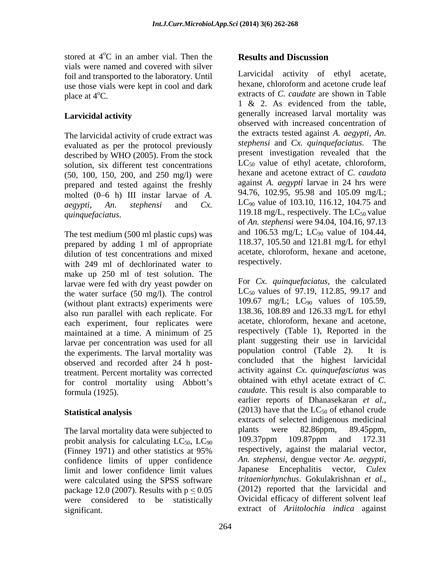stored at  $4^{\circ}$ C in an amber vial. Then the **Results and Discussion**  $\rm ^{o}C$  in an amber vial. Then the **Results and Discussion** vials were named and covered with silver foil and transported to the laboratory. Until use those vials were kept in cool and dark

The larvicidal activity of crude extract was evaluated as per the protocol previously described by WHO (2005). From the stock solution, six different test concentrations (50, 100, 150, 200, and 250 mg/l) were prepared and tested against the freshly molted  $(0-6$  h) III instar larvae of A.

prepared by adding 1 ml of appropriate and mixed<br>dilution of test concentrations and mixed acetate, chloroform, hexane and acetone, dilution of test concentrations and mixed<br>with 249 ml of dechlorinated water to respectively. with 249 ml of dechlorinated water to make up 250 ml of test solution. The larvae were fed with dry yeast powder on the water surface (50 mg/l). The control (without plant extracts) experiments were also run parallel with each replicate. For  $\frac{138.36}{28.36}$ , 108.89 and 126.33 mg/L for ethyl<br>each experiment four replicates were acetate, chloroform, hexane and acetone, each experiment, four replicates were acetate, chloroform, hexane and acetone,<br>maintained at a time. A minimum of 25 respectively (Table 1), Reported in the larvae per concentration was used for all a plant suggesting their use in larvicidal<br>the experiments. The larval mortality was a population control (Table 2). It is the experiments. The larval mortality was observed and recorded after 24 h posttreatment. Percent mortality was corrected for control mortality using Abbott's

The larval mortality data were subjected to plants were 82.86ppm, 89.45ppm, probit analysis for calculating  $IC_{50}$ ,  $IC_{90}$   $109.37$ ppm  $109.87$ ppm and 172.31 probit analysis for calculating  $LC_{50}$ ,  $LC_{90}$ confidence limits of upper confidence *An. stephensi*, dengue vector *Ae. aegypti*, limit and lower confidence limit values Japanese Encephalitis vector, *Culex* limit and lower confidence limit values<br>were calculated using the SPSS software *tritaeniorhynchus*. Gokulakrishnan *et al.*, were calculated using the SPSS software *tritaeniorhynchus*. Gokulakrishnan *et al.*,<br>nackage 12.0.(2007) Results with  $n < 0.05$  (2012) reported that the larvicidal and package 12.0 (2007). Results with  $p \leq 0.05$ significant. extract of *Ariitolochia indica* against

# **Results and Discussion**

place at 4<sup>o</sup>C. **Larvicidal activity**  generally increased larval mortality was *aegypti, An. stephensi* and *Cx. quinquefaciatus*. The LC<sub>50</sub> value<br>of An. stephensi were 94.04, 104.16, 97.13<br>The test medium (500 ml plastic cups) was and 106.53 mg/L; LC<sub>90</sub> value of 104.44, Larvicidal activity of ethyl acetate, hexane, chloroform and acetone crude leaf 1 & 2. As evidenced from the table, observed with increased concentration of the extracts tested against *A. aegypti, An. stephensi* and *Cx. quinquefaciatus*. The present investigation revealed that the  $LC_{50}$  value of ethyl acetate, chloroform, hexane and acetone extract of *C. caudata* against *A. aegypti* larvae in 24 hrs were 94.76, 102.95, 95.98 and 105.09 mg/L; LC90 value of 103.10, 116.12, 104.75 and 119.18 mg/L, respectively. The  $LC_{50}$  value of *An. stephensi* were 94.04, 104.16, 97.13 and 106.53 mg/L; LC<sub>90</sub> value of 104.44,<br>118.37, 105.50 and 121.81 mg/L for ethyl acetate, chloroform, hexane and acetone, respectively.

maintained at a time. A minimum of 25 respectively (Table 1), Reported in the formula (1925). *caudate*. This result is also comparable to **Statistical analysis** (2013) have that the LC<sub>50</sub> of ethanol crude (Finney 1971) and other statistics at 95% respectively, against the malarial vector, were considered to be statistically Ovicidal efficacy of different solvent leaf For *Cx. quinquefaciatus,* the calculated LC<sub>50</sub> values of 97.19, 112.85, 99.17 and 109.67 mg/L; LC<sub>90</sub> values of 105.59, 138.36, 108.89 and 126.33 mg/L for ethyl acetate, chloroform, hexane and acetone, respectively (Table 1), Reported in the plant suggesting their use in larvicidal population control (Table 2). concluded that the highest larvicidal activity against *Cx. quinquefasciatus* was obtained with ethyl acetate extract of *C.*  earlier reports of Dhanasekaran *et al.,* extracts of selected indigenous medicinal plants were 82.86ppm, 89.45ppm, 109.37ppm 109.87ppm and 172.31 respectively, against the malarial vector, *An. stephensi,* dengue vector *Ae. aegypti,* Japanese Encephalitis *tritaeniorhynchus*. Gokulakrishnan *et al.*, (2012) reported that the larvicidal and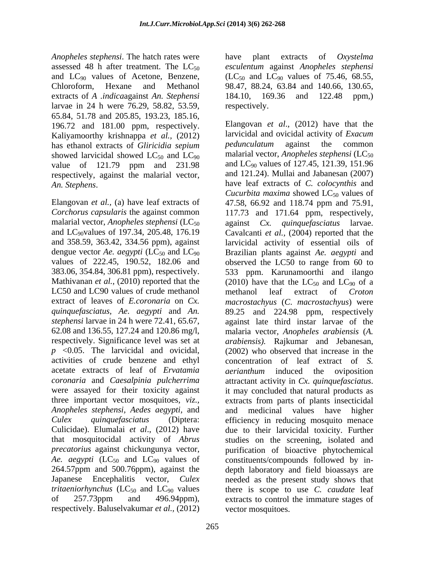*Anopheles stephensi*. The hatch rates were assessed 48 h after treatment. The LC<sub>50</sub> esculentum against *Anopheles stephensi* and  $LC_{90}$  values of Acetone, Benzene,  $(LC_{50}$  and  $LC_{90}$  values of 75.46, 68.55, Chloroform, Hexane and Methanol 98.47, 88.24, 63.84 and 140.66, 130.65, extracts of *A .indica*against *An. Stephensi* larvae in 24 h were 76.29, 58.82, 53.59, 65.84, 51.78 and 205.85, 193.23, 185.16, 196.72 and 181.00 ppm, respectively. Kaliyamoorthy krishnappa *et al.*, (2012) larvicidal and ovicidal activity of *Exacum*<br>has ethanol extracts of *Gliricidia senium* pedunculatum against the common has ethanol extracts of *Gliricidia sepium* showed larvicidal showed  $LC_{50}$  and  $LC_{90}$ value of 121.79 ppm and 231.98 respectively, against the malarial vector,

malarial vector, *Anopheles stephensi* ( $LC_{50}$  against  $Cx$ . dengue vector *Ae. aegypti* ( $LC_{50}$  and  $LC_{90}$  values of 222.45, 190.52, 182.06 and LC50 and LC90 values of crude methanol methanol leaf extract of Croton activities of crude benzene and ethyl acetate extracts of leaf of *Ervatamia coronaria* and *Caesalpinia pulcherrima* were assayed for their toxicity against it may concluded that natural products as *Anopheles stephensi, Aedes aegypti,* and *Ae. aegypti*  $(LC_{50}$  and  $LC_{90}$  values of respectively. Baluselvakumar *et al.,* (2012)

265

plant extracts of 184.10, 169.36 and 122.48 ppm,) respectively.

*An. Stephens.* have leaf extracts of *C. colocynthis* and<br>*Cucurbita maxima* showed LC<sub>50</sub> values of<br>Elangovan *et al.*, (a) have leaf extracts of 47.58, 66.92 and 118.74 ppm and 75.91, *Corchorus capsularis* the against common 117.73 and 171.64 ppm, respectively, and LC90values of 197.34, 205.48, 176.19 Cavalcanti *et al.,* (2004) reported that the and 358.59, 363.42, 334.56 ppm), against larvicidal activity of essential oils of values of 222.45, 190.52, 182.06 and observed the LC50 to range from 60 to 383.06, 354.84, 306.81 ppm), respectively. 533 ppm. Karunamoorthi and ilango Mathivanan *et al.*, (2010) reported that the  $(2010)$  have that the  $LC_{50}$  and  $LC_{90}$  of a extract of leaves of *E.coronaria* on *Cx. macrostachyus* (*C*. *macrostachyus*) were *quinquefasciatus, Ae. aegypti* and *An.*  89.25 and 224.98 ppm, respectively *stephensi* larvae in 24 h were 72.41, 65.67, against late third instar larvae of the 62.08 and 136.55, 127.24 and 120.86 mg/l, malaria vector, *Anopheles arabiensis* (*A.*  respectively. Significance level was set at *arabiensis).* Rajkumar and Jebanesan, *p* <0.05. The larvicidal and ovicidal, (2002) who observed that increase in the three important vector mosquitoes, *viz.,*  extracts from parts of plants insecticidal *Culex quinquefasciatus* (Diptera: efficiency in reducing mosquito menace Culicidae). Elumalai *et al*., (2012) have due to their larvicidal toxicity. Further that mosquitocidal activity of *Abrus*  studies on the screening, isolated and *precatorius* against chickungunya vector, purification of bioactive phytochemical 264.57ppm and 500.76ppm), against the depth laboratory and field bioassays are Japanese Encephalitis vector, *Culex*  needed as the present study shows that *tritaeniorhynchus* (LC<sub>50</sub> and LC<sub>90</sub> values there is scope to use *C. caudate* leaf of 257.73ppm and 496.94ppm), extracts to control the immature stages of Elangovan *et al*., (2012) have that the larvicidal and ovicidal activity of *Exacum pedunculatum* against the common malarial vector, *Anopheles stephensi* (LC<sub>50</sub>) and LC90 values of 127.45, 121.39, 151.96 and 121.24). Mullai and Jabanesan (2007) have leaf extracts of *C. colocynthis* and *Cucurbita maxima* showed  $LC_{50}$  values of 47.58, 66.92 and 118.74 ppm and 75.91, against *Cx. quinquefasciatus* larvae. Brazilian plants against *Ae. aegypti* and methanol leaf extract of *Croton*  concentration of leaf extract of *S. aerianthum* induced the oviposition attractant activity in *Cx. quinquefasciatus*. it may concluded that natural products as and medicinal values have higher constituents/compounds followed by in vector mosquitoes.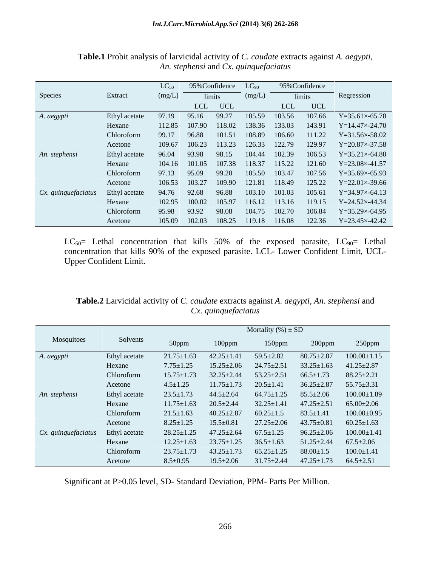|                     |               |        | $LC_{50}$ 95% Confidence $LC_{90}$ |         |                                           | 95%Confidence |                                                          |
|---------------------|---------------|--------|------------------------------------|---------|-------------------------------------------|---------------|----------------------------------------------------------|
| Species             | Extract       | (mg/L) |                                    | limits  | (mg/L)                                    | limits        | Regression                                               |
|                     |               |        |                                    | LCL UCL |                                           | LCL UCL       |                                                          |
| A. aegypti          | Ethyl acetate |        |                                    |         | 97.19 95.16 99.27 105.59 103.56 107.66    |               | $Y = 35.61 \times 65.78$                                 |
|                     | Hexane        |        |                                    |         | 112.85 107.90 118.02 138.36 133.03 143.91 |               | $Y=14.47\times 24.70$                                    |
|                     | Chloroform    |        |                                    |         |                                           |               | 99.17 96.88 101.51 108.89 106.60 111.22 Y=31.56×-58.02   |
|                     | Acetone       |        |                                    |         |                                           |               | 109.67 106.23 113.23 126.33 122.79 129.97 Y=20.87×-37.58 |
| An. stephensi       | Ethyl acetate |        |                                    |         |                                           |               | 96.04 93.98 98.15 104.44 102.39 106.53 Y=35.21×-64.80    |
|                     | Hexane        |        |                                    |         |                                           |               | 104.16 101.05 107.38 118.37 115.22 121.60 Y=23.08×41.57  |
|                     | Chloroform    |        |                                    |         |                                           |               | 97.13 95.09 99.20 105.50 103.47 107.56 Y=35.69×-65.93    |
|                     | Acetone       |        |                                    |         |                                           |               | 106.53 103.27 109.90 121.81 118.49 125.22 Y=22.01×-39.66 |
| Cx. quinquefaciatus | Ethyl acetate |        |                                    |         | 94.76 92.68 96.88 103.10 101.03 105.61    |               | $Y=34.97\times-64.13$                                    |
|                     | Hexane        |        |                                    |         | 102.95 100.02 105.97 116.12 113.16 119.15 |               | $Y = 24.52 \times -44.34$                                |
|                     | Chloroform    |        |                                    |         | 95.98 93.92 98.08 104.75 102.70 106.84    |               | $Y=35.29\times-64.95$                                    |
|                     | Acetone       |        |                                    |         |                                           |               | 105.09 102.03 108.25 119.18 116.08 122.36 Y=23.45×-42.42 |

## **Table.1** Probit analysis of larvicidal activity of *C. caudate* extracts against *A. aegypti, An. stephensi* and *Cx. quinquefaciatus*

 $LC_{50}=$  Lethal concentration that kills 50% of the exposed parasite,  $LC_{90}=$  Lethal concentration that kills 90% of the exposed parasite. LCL- Lower Confident Limit, UCL- Upper Confident Limit.

# **Table.2** Larvicidal activity of *C. caudate* extracts against *A. aegypti, An. stephensi* and *Cx. quinquefaciatus*

|                                   |               | Mortality $(\%)\pm SD$ |                                                   |                  |                                                                     |                                                                     |
|-----------------------------------|---------------|------------------------|---------------------------------------------------|------------------|---------------------------------------------------------------------|---------------------------------------------------------------------|
| Mosquitoes                        | Solvents      | 50ppm                  | $100$ ppm                                         | 150ppm           | $200$ ppm                                                           | $250$ ppm                                                           |
| A. aegypti                        | Ethyl acetate | $21.75 \pm 1.63$       | $42.25 \pm 1.41$                                  | $59.5 \pm 2.82$  | $80.75 \pm 2.87$                                                    | $100.00 \pm 1.15$                                                   |
|                                   | Hexane        | $7.75 \pm 1.25$        |                                                   |                  | $15.25 \pm 2.06$ $24.75 \pm 2.51$ $33.25 \pm 1.63$ $41.25 \pm 2.87$ |                                                                     |
|                                   | Chloroform    | $15.75 \pm 1.73$       | $32.25 \pm 2.44$ $53.25 \pm 2.51$ $66.5 \pm 1.73$ |                  |                                                                     | $88.25 \pm 2.21$                                                    |
|                                   | Acetone       | $4.5 \pm 1.25$         |                                                   |                  | $11.75 \pm 1.73$ $20.5 \pm 1.41$ $36.25 \pm 2.87$ $55.75 \pm 3.31$  |                                                                     |
| An. stephensi                     | Ethyl acetate | $23.5 \pm 1.73$        | $44.5 \pm 2.64$                                   | $64.75 \pm 1.25$ | $85.5 \pm 2.06$                                                     | $100.00 \pm 1.89$                                                   |
|                                   | Hexane        | $11.75 \pm 1.63$       | $20.5 \pm 2.44$                                   | $32.25 \pm 1.41$ | $47.25 \pm 2.51$                                                    | $65.00 \pm 2.06$                                                    |
|                                   | Chloroform    | $21.5 \pm 1.63$        | $40.25 \pm 2.87$ 60.25 $\pm 1.5$ 83.5 $\pm 1.41$  |                  |                                                                     | $100.00\pm0.95$                                                     |
|                                   | Acetone       | $8.25 \pm 1.25$        | $15.5 \pm 0.81$                                   |                  | $27.25 \pm 2.06$ $43.75 \pm 0.81$ $60.25 \pm 1.63$                  |                                                                     |
| Cx. quinquefaciatus Ethyl acetate |               | $28.25 \pm 1.25$       |                                                   |                  |                                                                     | $47.25 \pm 2.64$ $67.5 \pm 1.25$ $96.25 \pm 2.06$ $100.00 \pm 1.41$ |
|                                   | Hexane        | 12.25±1.63             | $23.75 \pm 1.25$ $36.5 \pm 1.63$                  |                  | $51.25 \pm 2.44$ $67.5 \pm 2.06$                                    |                                                                     |
|                                   | Chloroform    | $23.75 \pm 1.73$       | $43.25 \pm 1.73$ $65.25 \pm 1.25$ $88.00 \pm 1.5$ |                  |                                                                     | $100.0 \pm 1.41$                                                    |
|                                   | Acetone       | $8.5 \pm 0.95$         | $19.5 \pm 2.06$                                   |                  | $31.75 \pm 2.44$ $47.25 \pm 1.73$ $64.5 \pm 2.51$                   |                                                                     |

Significant at P>0.05 level, SD- Standard Deviation, PPM- Parts Per Million.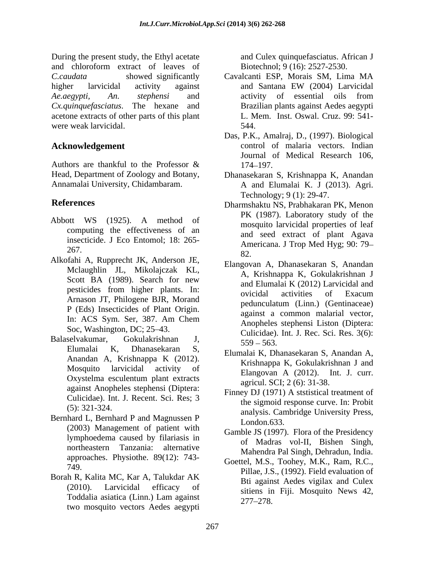During the present study, the Ethyl acetate and chloroform extract of leaves of *C.caudata* showed significantly Cavalcanti ESP, Morais SM, Lima MA higher larvicidal activity against and Santana EW (2004) Larvicidal *Ae.aegypti, An. stephensi* and *Cx.quinquefasciatus*. The hexane and Brazilian plants against Aedes aegypti acetone extracts of other parts of this plant were weak larvicidal. 544.

- Abbott WS (1925). A method of computing the effectiveness of an insecticide. J Eco Entomol; 18: 265-
- Alkofahi A, Rupprecht JK, Anderson JE, Mclaughlin JL, Mikolajczak KL, P (Eds) Insecticides of Plant Origin. Soc, Washington, DC; 25–43.
- Elumalai K, Dhanasekaran S, Elumalai K, Dhanasekaran S, Anandan A, against Anopheles stephensi (Diptera: Culicidae). Int. J. Recent. Sci. Res; 3
- Bernhard L, Bernhard P and Magnussen P<br>London.633. (2003) Management of patient with lymphoedema caused by filariasis in northeastern Tanzania: alternative approaches. Physiothe. 89(12): 743-
- Borah R, Kalita MC, Kar A, Talukdar AK 1 oddalia asiatica (Linn.) Lam against<br>two mosquito vectors Aedes aegypti 277–278.

and Culex quinquefasciatus. African J Biotechnol; 9 (16): 2527-2530.

- and Santana EW (2004) Larvicidal activity of essential oils from L. Mem. Inst. Oswal. Cruz. 99: 541- 544.
- Acknowledgement **Control Control of malaria vectors**. Indian Authors are thankful to the Professor  $\&$  174–197. Das, P.K., Amalraj, D., (1997). Biological Journal of Medical Research 106, 174–197.
- Head, Department of Zoology and Botany, Dhanasekaran S, Krishnappa K, Anandan Annamalai University, Chidambaram. A and Elumalai K. J (2013). Agri. Technology; 9 (1): 29-47.
- **References** Dharmshaktu NS, Prabhakaran PK, Menon  $\frac{1}{267}$ . PK (1987). Laboratory study of the mosquito larvicidal properties of leaf and seed extract of plant Agava Americana. J Trop Med Hyg; 90: 79 82.
- Scott BA (1989). Search for new  $\frac{11}{2}$ , Kristingpu K, Schalaktisman S pesticides from higher plants. In:  $\frac{d\mathbf{r}}{dt}$  original perturbation of Exacum pesticides from light plants. In.<br>Arnason JT, Philogene BJR, Morand and accredition (Linux) (Continuous) In: ACS Sym. Ser, 387. Am Chem against a common maturity vector, Balaselvakumar, Gokulakrishnan J,  $\frac{60.63}{550}$  563 Elangovan A, Dhanasekaran S, Anandan A, Krishnappa K, Gokulakrishnan J and Elumalai K (2012) Larvicidal and ovicidal activities of Exacum pedunculatum (Linn.) (Gentinaceae) against a common malarial vector, Anopheles stephensi Liston (Diptera: Culicidae). Int. J. Rec. Sci. Res. 3(6):  $559 - 563.$ 
	- Anandan A, Krishnappa K (2012). Krishnappa K Gokulektishnap Land Mosquito larvicidal activity of **Elengavan A** (2012) Int I curr Oxystelma esculentum plant extracts  $\frac{\text{Bang组 STI}}{\text{30\text{ min}} \cdot \text{2012}}$ . The securi-Krishnappa K, Gokulakrishnan J and Elangovan A (2012). Int. J. curr. agricul. SCI; 2 (6): 31-38.
	- (5):  $321-324$ .<br>analysis. Cambridge University Press, Finney DJ (1971) A ststistical treatment of the sigmoid response curve. In: Probit London.633.
		- Gamble JS (1997). Flora of the Presidency of Madras vol-II, Bishen Singh, Mahendra Pal Singh, Dehradun, India.
	- $\frac{332}{10}$ ,  $\frac{1}{2}$ ,  $\frac{1}{2}$ ,  $\frac{1}{2}$ ,  $\frac{1}{2}$ ,  $\frac{1}{2}$ ,  $\frac{1}{2}$ ,  $\frac{1}{2}$ ,  $\frac{1}{2}$ ,  $\frac{1}{2}$ ,  $\frac{1}{2}$ ,  $\frac{1}{2}$ ,  $\frac{1}{2}$ ,  $\frac{1}{2}$ ,  $\frac{1}{2}$ ,  $\frac{1}{2}$ ,  $\frac{1}{2}$ ,  $\frac{1}{2}$ ,  $\frac{1}{2}$ ,  $\frac{1}{2}$  $(2010)$ . Larvicidal efficacy of  $\frac{Bt}{\text{stians in } E}$  Mosquito News 42 Toddalia asiatica (Linn.) Lam against  $\frac{54000}{277}$   $\frac{1}{28}$ Goettel, M.S., Toohey, M.K., Ram, R.C., Bti against Aedes vigilax and Culex sitiens in Fiji. Mosquito News 42, 277 278.